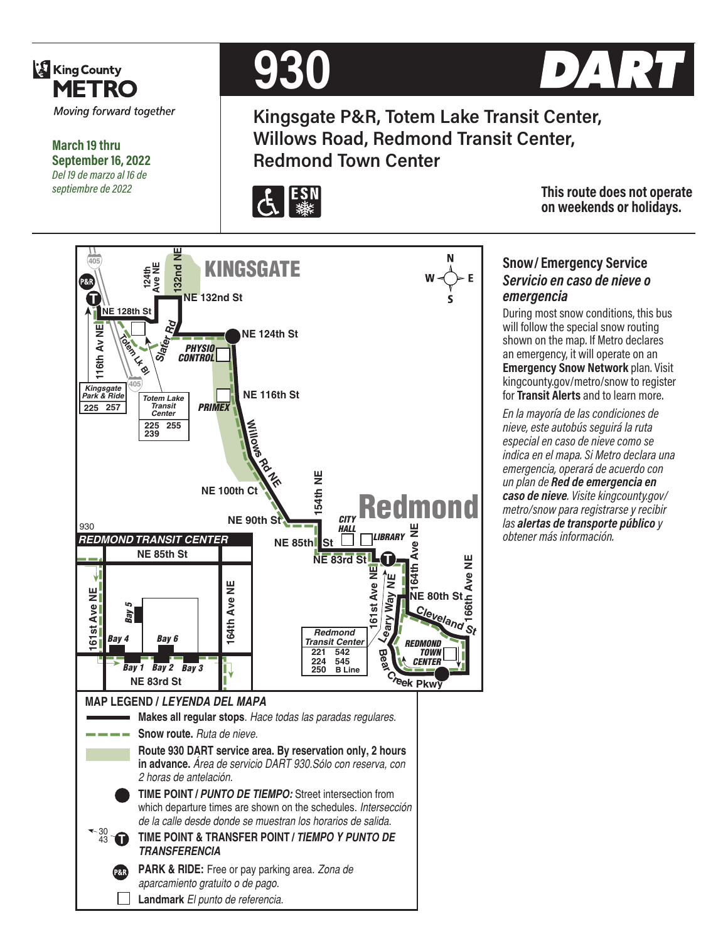

**March 19 thru September 16, 2022** *Del 19 de marzo al 16 de septiembre de 2022*



**Kingsgate P&R, Totem Lake Transit Center, Willows Road, Redmond Transit Center, Redmond Town Center**



**This route does not operate on weekends or holidays.**

#### **132nd NE** N **405 KINGSGATE Landmark Landmark El punto de referencia.**<br> **Landmark El primeri de referencia.**<br> **Landmark Ave Scotter PRIMEX AVE 116th** Center Transit Center PRIMEX **AVE 116th** Center  $\frac{255}{239}$  255 **AVE 100th Ct NE** 90t P&R<sup>1</sup> **NE 132nd St T NE 128th St Rd 116th Av NE 116th Av NE NE 124th St Diem Lf Bl** *PHYSIO* **Slater** *CONTROL* **405** *Kingsgate* **NE 116th St** *Park & Ride Totem Lake* **225 257** *Transit Center PRIMEX* **Wil225 255 239 D**<br>**R**<br>RR<br>RR<br>RR<br>RR **NE 83rd St<sup>11</sup><br>NE 83rd St<sup>11</sup><br>NE 83rd St<sup>11</sup> NE 100th Ct** Redmond **NE 90th St** *CITY* 930 *HALL* **164th Ave NE** *REDMOND TRANSIT CENTER LIBRARY* **NE 85th** St **NE 85th St T** ٣ **166th Ave NE Let also NE**<br>Ceary Way NE **161st Ave NE** Ave 1 **ME 80th St <del>L</del></del><br>NE 80th St <del>L</del><br>C E164th Ave NE N** 쁮 **Way 161st Ave NE** *Bay 4 Bay 5* Cleveland<sup>5</sup> Ave 5 *Redmond*  $\overline{6}$ *Bay 6 REDMOND Transit Center* **B**<br>C<sub>*reek* Pkwy</sub> *TOWN* **221 542 224 545** *CENTER Bay 2 Bay 3 Bay 1* **250 B Line NE 83rd St MAP LEGEND /** *LEYENDA DEL MAPA* **Makes all regular stops**. *Hace todas las paradas regulares.* **Snow route.** *Ruta de nieve.* **Route 930 DART service area. By reservation only, 2 hours in advance.** *Área de servicio DART 930.Sólo con reserva, con 2 horas de antelación.* **TIME POINT /** *PUNTO DE TIEMPO:* Street intersection from which departure times are shown on the schedules. *Intersección de la calle desde donde se muestran los horarios de salida.*  $30 \sqrt{13}$ **TIME POINT & TRANSFER POINT /** *TIEMPO Y PUNTO DE TRANSFERENCIA* **PARK & RIDE:** Free or pay parking area. *Zona de aparcamiento gratuito o de pago.*

# **Snow/ Emergency Service**  *Servicio en caso de nieve o emergencia*

During most snow conditions, this bus will follow the special snow routing shown on the map. If Metro declares an emergency, it will operate on an **Emergency Snow Network** plan. Visit kingcounty.gov/metro/snow to register for **Transit Alerts** and to learn more.

*En la mayoría de las condiciones de nieve, este autobús seguirá la ruta especial en caso de nieve como se indica en el mapa. Si Metro declara una emergencia, operará de acuerdo con un plan de Red de emergencia en caso de nieve. Visite kingcounty.gov/ metro/snow para registrarse y recibir las alertas de transporte público y obtener más información.*